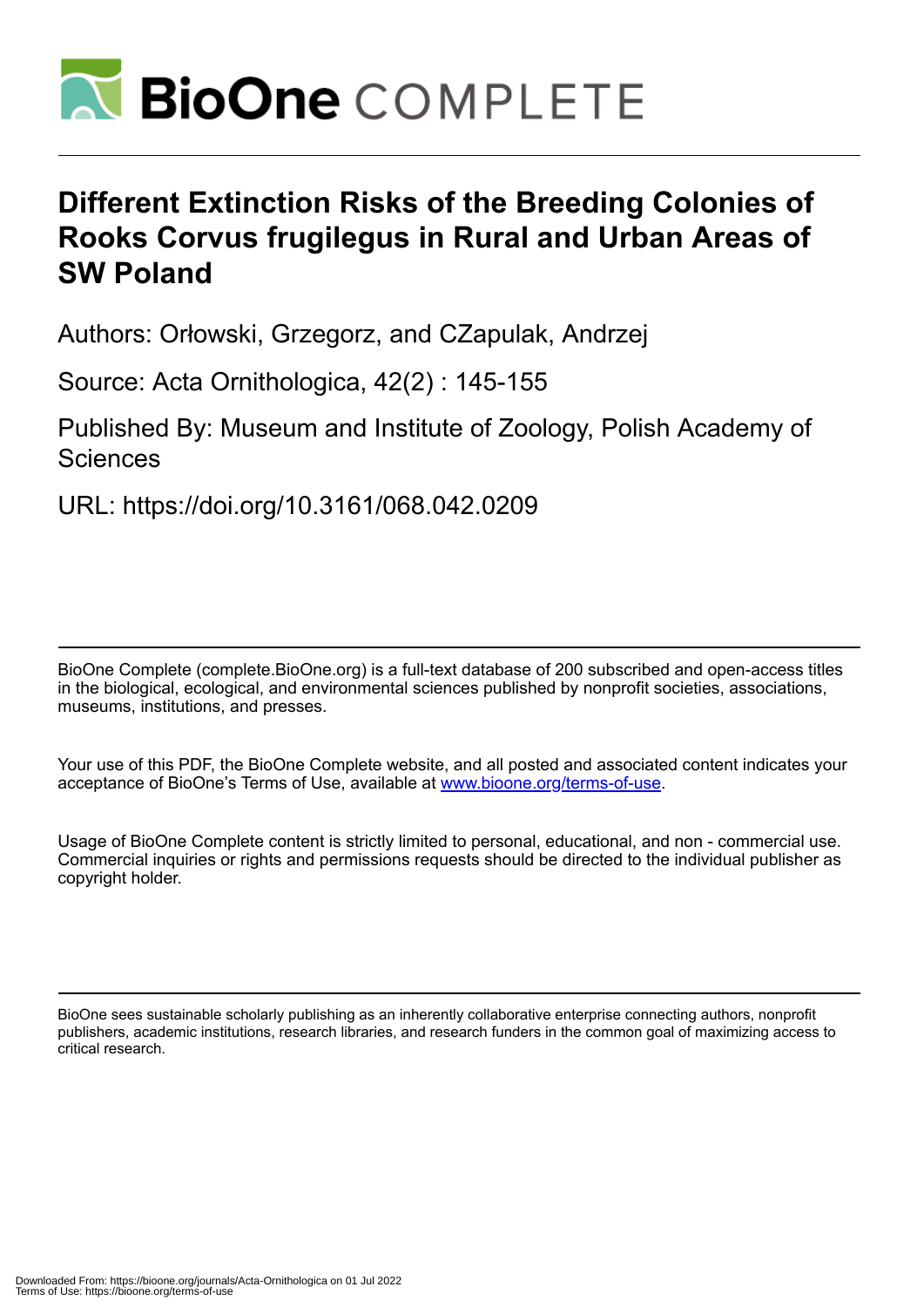

# **Different Extinction Risks of the Breeding Colonies of Rooks Corvus frugilegus in Rural and Urban Areas of SW Poland**

Authors: Orłowski, Grzegorz, and CZapulak, Andrzej

Source: Acta Ornithologica, 42(2) : 145-155

Published By: Museum and Institute of Zoology, Polish Academy of **Sciences** 

URL: https://doi.org/10.3161/068.042.0209

BioOne Complete (complete.BioOne.org) is a full-text database of 200 subscribed and open-access titles in the biological, ecological, and environmental sciences published by nonprofit societies, associations, museums, institutions, and presses.

Your use of this PDF, the BioOne Complete website, and all posted and associated content indicates your acceptance of BioOne's Terms of Use, available at www.bioone.org/terms-of-use.

Usage of BioOne Complete content is strictly limited to personal, educational, and non - commercial use. Commercial inquiries or rights and permissions requests should be directed to the individual publisher as copyright holder.

BioOne sees sustainable scholarly publishing as an inherently collaborative enterprise connecting authors, nonprofit publishers, academic institutions, research libraries, and research funders in the common goal of maximizing access to critical research.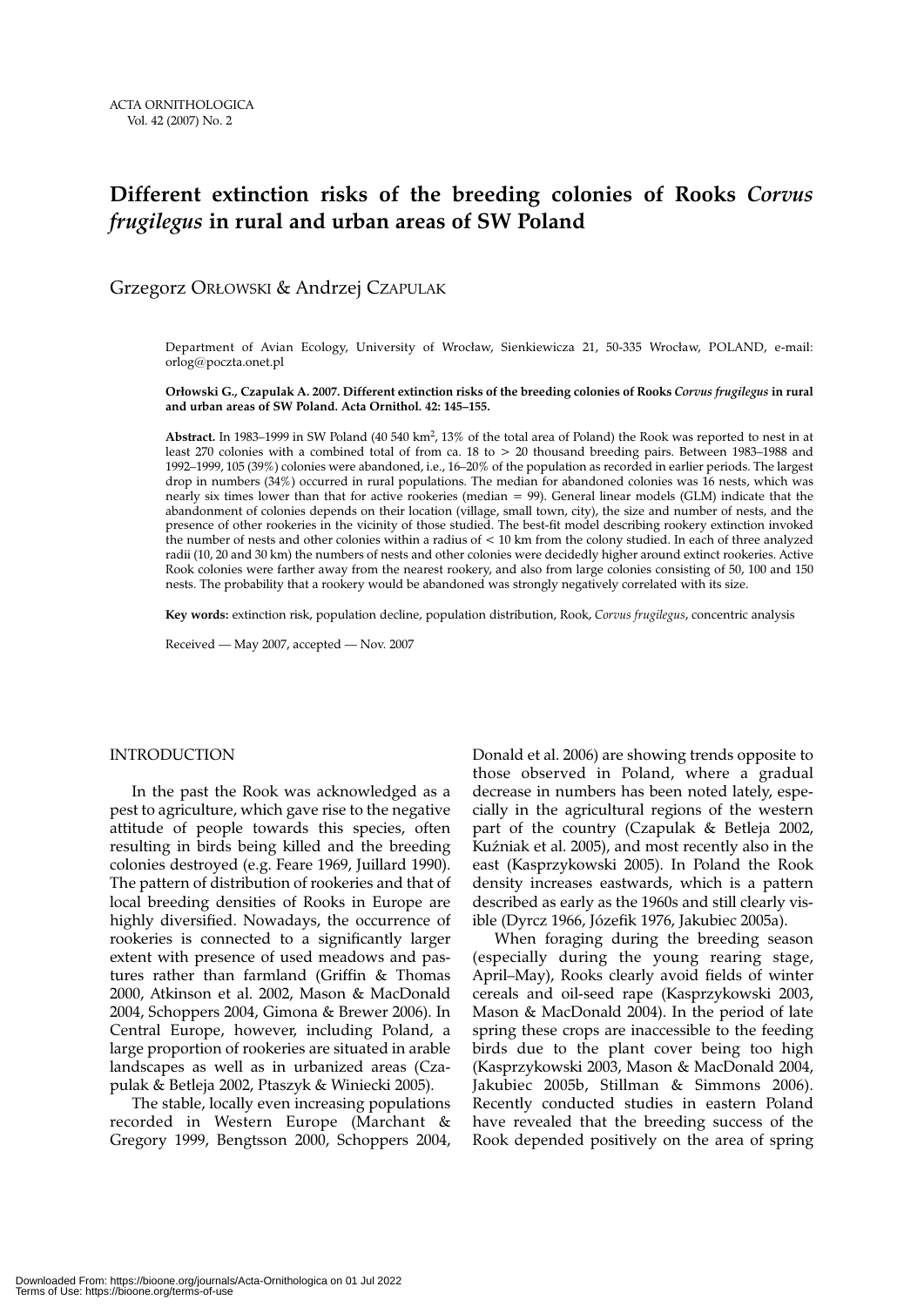# **Different extinction risks of the breeding colonies of Rooks** *Corvus frugilegus* **in rural and urban areas of SW Poland**

Grzegorz ORŁOWSKI & Andrzej CZAPULAK

Department of Avian Ecology, University of Wrocław, Sienkiewicza 21, 50-335 Wrocław, POLAND, e-mail: orlog@poczta.onet.pl

**Orłowski G., Czapulak A. 2007. Different extinction risks of the breeding colonies of Rooks** *Corvus frugilegus* **in rural and urban areas of SW Poland. Acta Ornithol. 42: 145–155.**

**Abstract.** In 1983–1999 in SW Poland (40 540 km2, 13% of the total area of Poland) the Rook was reported to nest in at least 270 colonies with a combined total of from ca. 18 to > 20 thousand breeding pairs. Between 1983–1988 and 1992–1999, 105 (39%) colonies were abandoned, i.e., 16–20% of the population as recorded in earlier periods. The largest drop in numbers (34%) occurred in rural populations. The median for abandoned colonies was 16 nests, which was nearly six times lower than that for active rookeries (median = 99). General linear models (GLM) indicate that the abandonment of colonies depends on their location (village, small town, city), the size and number of nests, and the presence of other rookeries in the vicinity of those studied. The best-fit model describing rookery extinction invoked the number of nests and other colonies within a radius of < 10 km from the colony studied. In each of three analyzed radii (10, 20 and 30 km) the numbers of nests and other colonies were decidedly higher around extinct rookeries. Active Rook colonies were farther away from the nearest rookery, and also from large colonies consisting of 50, 100 and 150 nests. The probability that a rookery would be abandoned was strongly negatively correlated with its size.

**Key words:** extinction risk, population decline, population distribution, Rook, *Corvus frugilegus*, concentric analysis

Received — May 2007, accepted — Nov. 2007

# INTRODUCTION

In the past the Rook was acknowledged as a pest to agriculture, which gave rise to the negative attitude of people towards this species, often resulting in birds being killed and the breeding colonies destroyed (e.g. Feare 1969, Juillard 1990). The pattern of distribution of rookeries and that of local breeding densities of Rooks in Europe are highly diversified. Nowadays, the occurrence of rookeries is connected to a significantly larger extent with presence of used meadows and pastures rather than farmland (Griffin & Thomas 2000, Atkinson et al. 2002, Mason & MacDonald 2004, Schoppers 2004, Gimona & Brewer 2006). In Central Europe, however, including Poland, a large proportion of rookeries are situated in arable landscapes as well as in urbanized areas (Czapulak & Betleja 2002, Ptaszyk & Winiecki 2005).

The stable, locally even increasing populations recorded in Western Europe (Marchant & Gregory 1999, Bengtsson 2000, Schoppers 2004, Donald et al. 2006) are showing trends opposite to those observed in Poland, where a gradual decrease in numbers has been noted lately, especially in the agricultural regions of the western part of the country (Czapulak & Betleja 2002, Kuźniak et al. 2005), and most recently also in the east (Kasprzykowski 2005). In Poland the Rook density increases eastwards, which is a pattern described as early as the 1960s and still clearly visible (Dyrcz 1966, Józefik 1976, Jakubiec 2005a).

When foraging during the breeding season (especially during the young rearing stage, April–May), Rooks clearly avoid fields of winter cereals and oil-seed rape (Kasprzykowski 2003, Mason & MacDonald 2004). In the period of late spring these crops are inaccessible to the feeding birds due to the plant cover being too high (Kasprzykowski 2003, Mason & MacDonald 2004, Jakubiec 2005b, Stillman & Simmons 2006). Recently conducted studies in eastern Poland have revealed that the breeding success of the Rook depended positively on the area of spring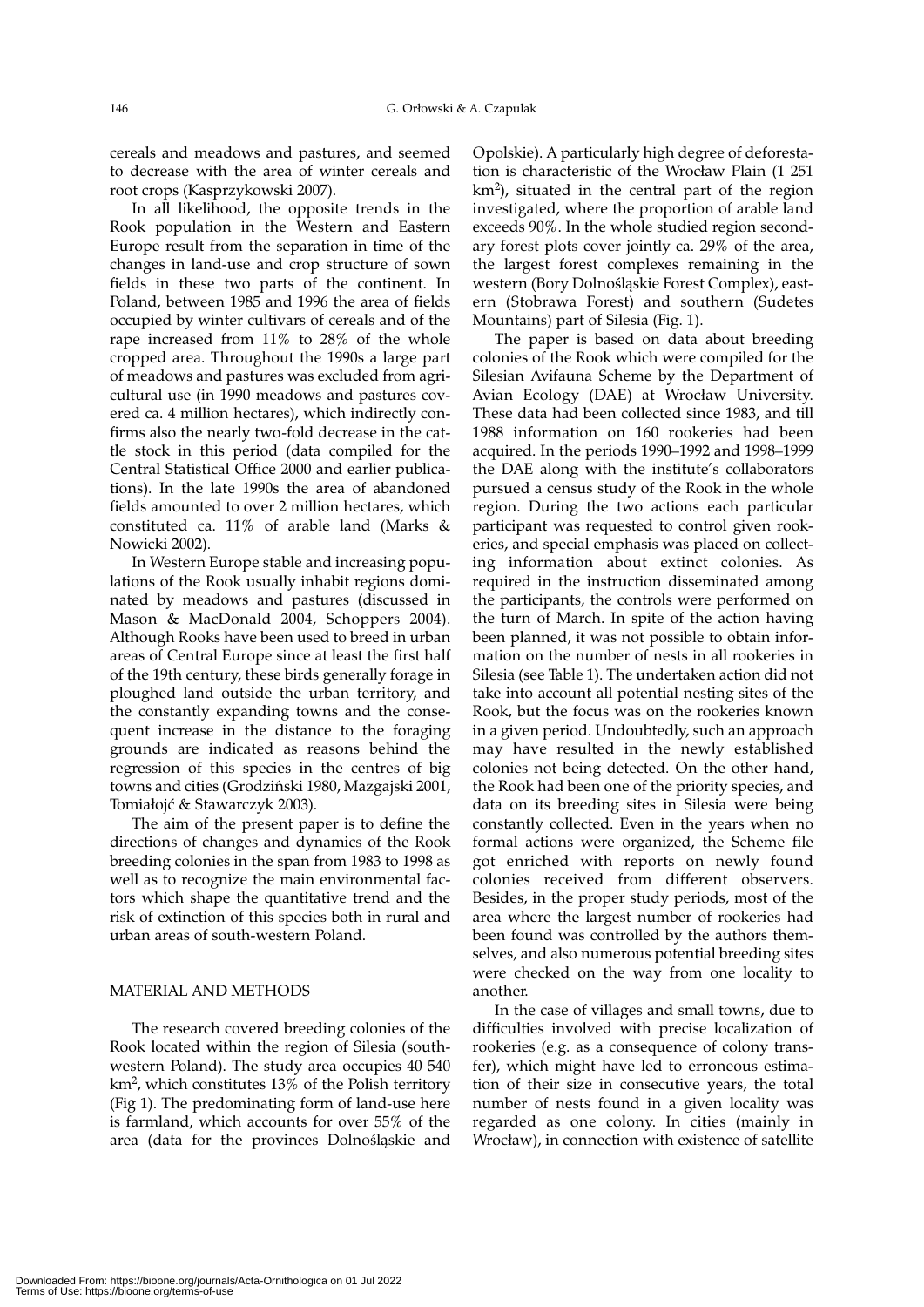cereals and meadows and pastures, and seemed to decrease with the area of winter cereals and root crops (Kasprzykowski 2007).

In all likelihood, the opposite trends in the Rook population in the Western and Eastern Europe result from the separation in time of the changes in land-use and crop structure of sown fields in these two parts of the continent. In Poland, between 1985 and 1996 the area of fields occupied by winter cultivars of cereals and of the rape increased from 11% to 28% of the whole cropped area. Throughout the 1990s a large part of meadows and pastures was excluded from agricultural use (in 1990 meadows and pastures covered ca. 4 million hectares), which indirectly confirms also the nearly two-fold decrease in the cattle stock in this period (data compiled for the Central Statistical Office 2000 and earlier publications). In the late 1990s the area of abandoned fields amounted to over 2 million hectares, which constituted ca. 11% of arable land (Marks & Nowicki 2002).

In Western Europe stable and increasing populations of the Rook usually inhabit regions dominated by meadows and pastures (discussed in Mason & MacDonald 2004, Schoppers 2004). Although Rooks have been used to breed in urban areas of Central Europe since at least the first half of the 19th century, these birds generally forage in ploughed land outside the urban territory, and the constantly expanding towns and the consequent increase in the distance to the foraging grounds are indicated as reasons behind the regression of this species in the centres of big towns and cities (Grodziński 1980, Mazgajski 2001, Tomiałojć & Stawarczyk 2003).

The aim of the present paper is to define the directions of changes and dynamics of the Rook breeding colonies in the span from 1983 to 1998 as well as to recognize the main environmental factors which shape the quantitative trend and the risk of extinction of this species both in rural and urban areas of south-western Poland.

# MATERIAL AND METHODS

The research covered breeding colonies of the Rook located within the region of Silesia (southwestern Poland). The study area occupies 40 540 km2, which constitutes 13% of the Polish territory (Fig 1). The predominating form of land-use here is farmland, which accounts for over 55% of the area (data for the provinces Dolnośląskie and Opolskie). A particularly high degree of deforestation is characteristic of the Wrocław Plain (1 251  $km<sup>2</sup>$ , situated in the central part of the region investigated, where the proportion of arable land exceeds 90%. In the whole studied region secondary forest plots cover jointly ca. 29% of the area, the largest forest complexes remaining in the western (Bory Dolnośląskie Forest Complex), eastern (Stobrawa Forest) and southern (Sudetes Mountains) part of Silesia (Fig. 1).

The paper is based on data about breeding colonies of the Rook which were compiled for the Silesian Avifauna Scheme by the Department of Avian Ecology (DAE) at Wrocław University. These data had been collected since 1983, and till 1988 information on 160 rookeries had been acquired. In the periods 1990–1992 and 1998–1999 the DAE along with the institute's collaborators pursued a census study of the Rook in the whole region. During the two actions each particular participant was requested to control given rookeries, and special emphasis was placed on collecting information about extinct colonies. As required in the instruction disseminated among the participants, the controls were performed on the turn of March. In spite of the action having been planned, it was not possible to obtain information on the number of nests in all rookeries in Silesia (see Table 1). The undertaken action did not take into account all potential nesting sites of the Rook, but the focus was on the rookeries known in a given period. Undoubtedly, such an approach may have resulted in the newly established colonies not being detected. On the other hand, the Rook had been one of the priority species, and data on its breeding sites in Silesia were being constantly collected. Even in the years when no formal actions were organized, the Scheme file got enriched with reports on newly found colonies received from different observers. Besides, in the proper study periods, most of the area where the largest number of rookeries had been found was controlled by the authors themselves, and also numerous potential breeding sites were checked on the way from one locality to another.

In the case of villages and small towns, due to difficulties involved with precise localization of rookeries (e.g. as a consequence of colony transfer), which might have led to erroneous estimation of their size in consecutive years, the total number of nests found in a given locality was regarded as one colony. In cities (mainly in Wrocław), in connection with existence of satellite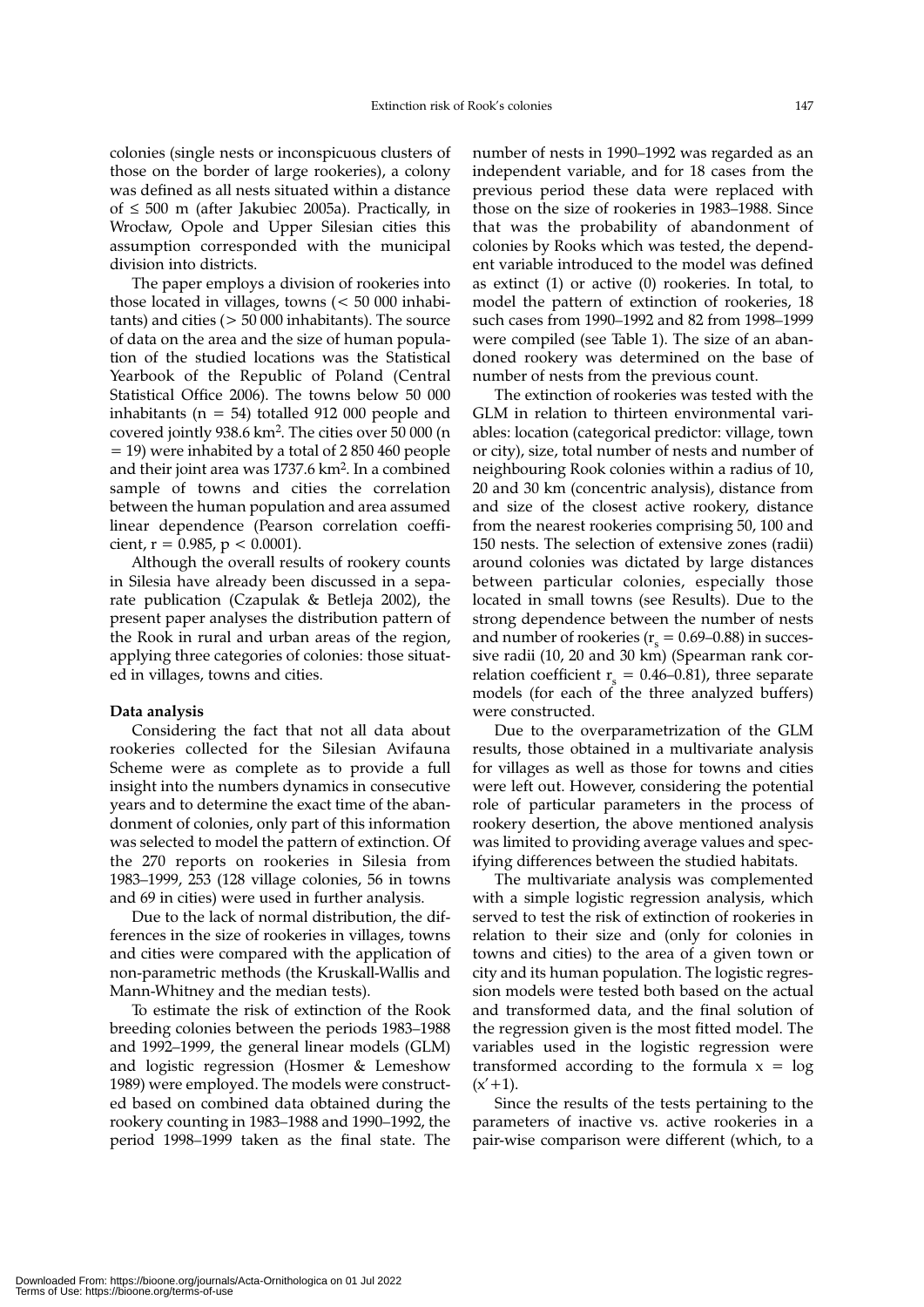colonies (single nests or inconspicuous clusters of those on the border of large rookeries), a colony was defined as all nests situated within a distance of ≤ 500 m (after Jakubiec 2005a). Practically, in Wrocław, Opole and Upper Silesian cities this assumption corresponded with the municipal division into districts.

The paper employs a division of rookeries into those located in villages, towns (< 50 000 inhabitants) and cities (> 50 000 inhabitants). The source of data on the area and the size of human population of the studied locations was the Statistical Yearbook of the Republic of Poland (Central Statistical Office 2006). The towns below 50 000 inhabitants ( $n = 54$ ) totalled 912 000 people and covered jointly 938.6 km2. The cities over 50 000 (n = 19) were inhabited by a total of 2 850 460 people and their joint area was 1737.6 km2. In a combined sample of towns and cities the correlation between the human population and area assumed linear dependence (Pearson correlation coefficient,  $r = 0.985$ ,  $p < 0.0001$ ).

Although the overall results of rookery counts in Silesia have already been discussed in a separate publication (Czapulak & Betleja 2002), the present paper analyses the distribution pattern of the Rook in rural and urban areas of the region, applying three categories of colonies: those situated in villages, towns and cities.

# **Data analysis**

Considering the fact that not all data about rookeries collected for the Silesian Avifauna Scheme were as complete as to provide a full insight into the numbers dynamics in consecutive years and to determine the exact time of the abandonment of colonies, only part of this information was selected to model the pattern of extinction. Of the 270 reports on rookeries in Silesia from 1983–1999, 253 (128 village colonies, 56 in towns and 69 in cities) were used in further analysis.

Due to the lack of normal distribution, the differences in the size of rookeries in villages, towns and cities were compared with the application of non-parametric methods (the Kruskall-Wallis and Mann-Whitney and the median tests).

To estimate the risk of extinction of the Rook breeding colonies between the periods 1983–1988 and 1992–1999, the general linear models (GLM) and logistic regression (Hosmer & Lemeshow 1989) were employed. The models were constructed based on combined data obtained during the rookery counting in 1983–1988 and 1990–1992, the period 1998–1999 taken as the final state. The number of nests in 1990–1992 was regarded as an independent variable, and for 18 cases from the previous period these data were replaced with those on the size of rookeries in 1983–1988. Since that was the probability of abandonment of colonies by Rooks which was tested, the dependent variable introduced to the model was defined as extinct (1) or active (0) rookeries. In total, to model the pattern of extinction of rookeries, 18 such cases from 1990–1992 and 82 from 1998–1999 were compiled (see Table 1). The size of an abandoned rookery was determined on the base of number of nests from the previous count.

The extinction of rookeries was tested with the GLM in relation to thirteen environmental variables: location (categorical predictor: village, town or city), size, total number of nests and number of neighbouring Rook colonies within a radius of 10, 20 and 30 km (concentric analysis), distance from and size of the closest active rookery, distance from the nearest rookeries comprising 50, 100 and 150 nests. The selection of extensive zones (radii) around colonies was dictated by large distances between particular colonies, especially those located in small towns (see Results). Due to the strong dependence between the number of nests and number of rookeries ( $r_s = 0.69{\text -}0.88$ ) in successive radii (10, 20 and 30 km) (Spearman rank correlation coefficient  $r = 0.46{\text -}0.81$ ), three separate models (for each of the three analyzed buffers) were constructed.

Due to the overparametrization of the GLM results, those obtained in a multivariate analysis for villages as well as those for towns and cities were left out. However, considering the potential role of particular parameters in the process of rookery desertion, the above mentioned analysis was limited to providing average values and specifying differences between the studied habitats.

The multivariate analysis was complemented with a simple logistic regression analysis, which served to test the risk of extinction of rookeries in relation to their size and (only for colonies in towns and cities) to the area of a given town or city and its human population. The logistic regression models were tested both based on the actual and transformed data, and the final solution of the regression given is the most fitted model. The variables used in the logistic regression were transformed according to the formula  $x = log$  $(x'+1)$ .

Since the results of the tests pertaining to the parameters of inactive vs. active rookeries in a pair-wise comparison were different (which, to a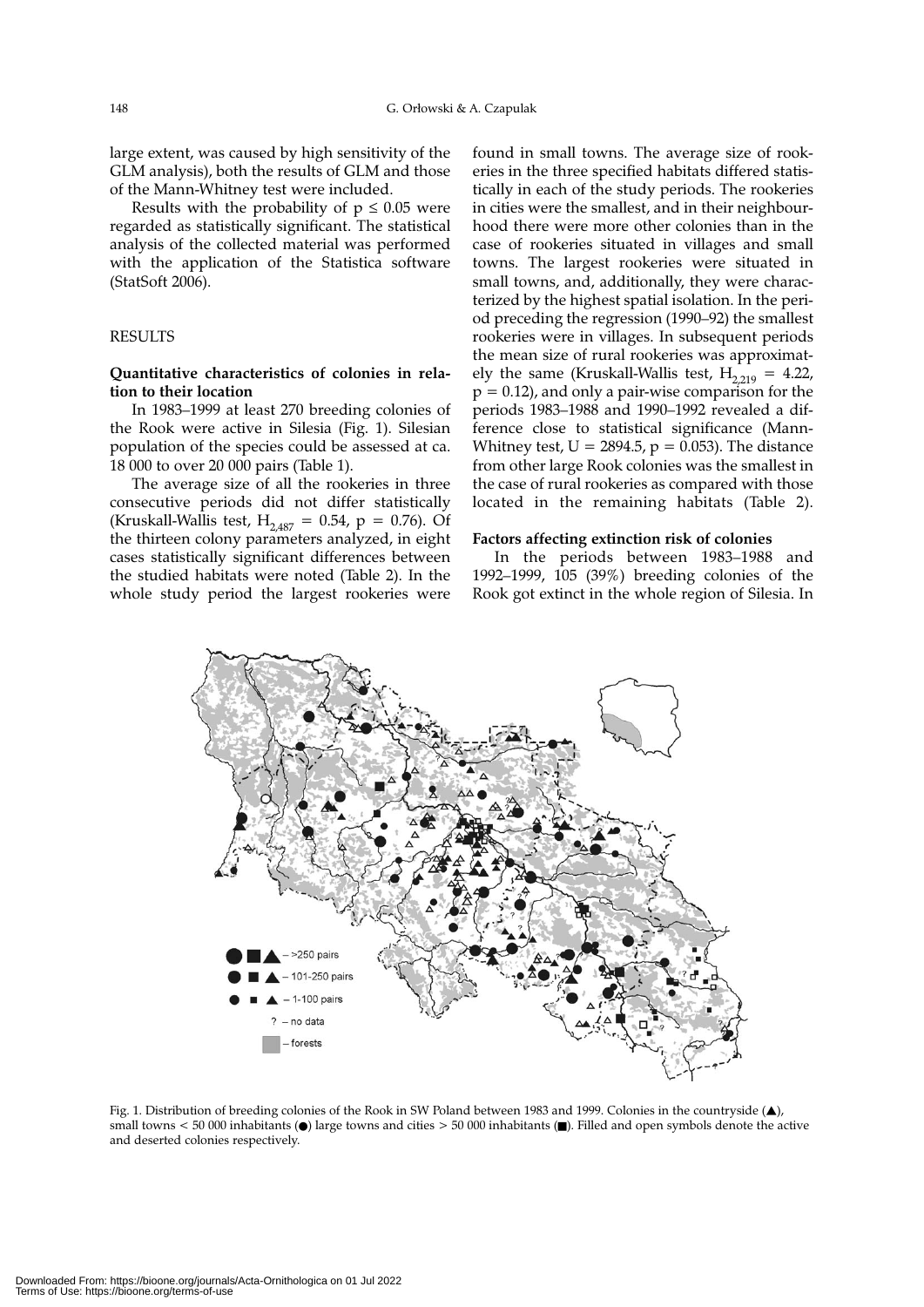large extent, was caused by high sensitivity of the GLM analysis), both the results of GLM and those of the Mann-Whitney test were included.

Results with the probability of  $p \leq 0.05$  were regarded as statistically significant. The statistical analysis of the collected material was performed with the application of the Statistica software (StatSoft 2006).

# RESULTS

### **Quantitative characteristics of colonies in relation to their location**

In 1983–1999 at least 270 breeding colonies of the Rook were active in Silesia (Fig. 1). Silesian population of the species could be assessed at ca. 18 000 to over 20 000 pairs (Table 1).

The average size of all the rookeries in three consecutive periods did not differ statistically (Kruskall-Wallis test,  $H_{2.487} = 0.54$ ,  $p = 0.76$ ). Of the thirteen colony parameters analyzed, in eight cases statistically significant differences between the studied habitats were noted (Table 2). In the whole study period the largest rookeries were found in small towns. The average size of rookeries in the three specified habitats differed statistically in each of the study periods. The rookeries in cities were the smallest, and in their neighbourhood there were more other colonies than in the case of rookeries situated in villages and small towns. The largest rookeries were situated in small towns, and, additionally, they were characterized by the highest spatial isolation. In the period preceding the regression (1990–92) the smallest rookeries were in villages. In subsequent periods the mean size of rural rookeries was approximately the same (Kruskall-Wallis test,  $H_{2,219} = 4.22$ ,  $p = 0.12$ ), and only a pair-wise comparison for the periods 1983–1988 and 1990–1992 revealed a difference close to statistical significance (Mann-Whitney test,  $U = 2894.5$ ,  $p = 0.053$ ). The distance from other large Rook colonies was the smallest in the case of rural rookeries as compared with those located in the remaining habitats (Table 2).

#### **Factors affecting extinction risk of colonies**

In the periods between 1983–1988 and 1992–1999, 105 (39%) breeding colonies of the Rook got extinct in the whole region of Silesia. In



Fig. 1. Distribution of breeding colonies of the Rook in SW Poland between 1983 and 1999. Colonies in the countryside (▲), small towns < 50 000 inhabitants ( $\bullet$ ) large towns and cities > 50 000 inhabitants ( $\bullet$ ). Filled and open symbols denote the active and deserted colonies respectively.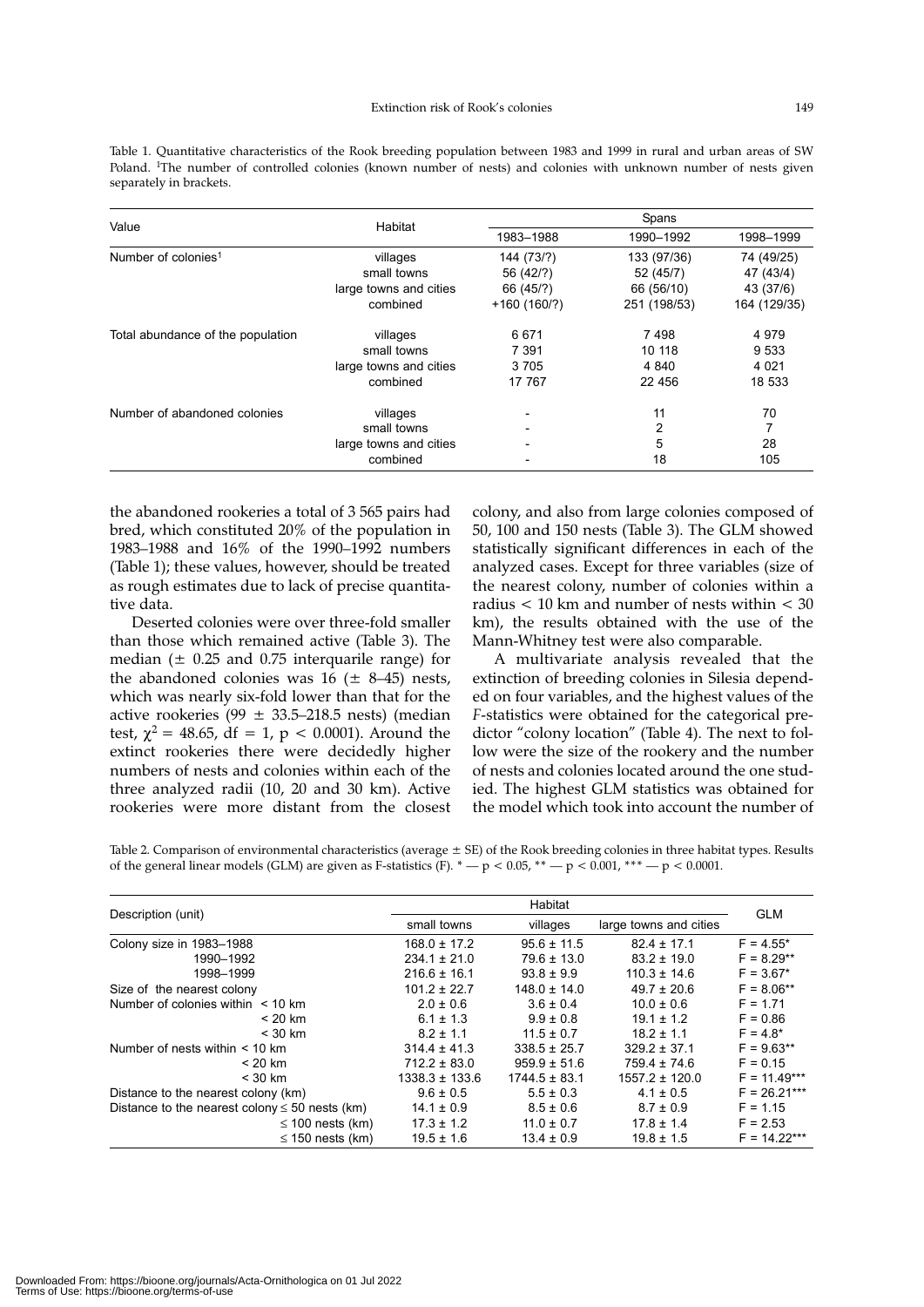Table 1. Quantitative characteristics of the Rook breeding population between 1983 and 1999 in rural and urban areas of SW Poland. 1The number of controlled colonies (known number of nests) and colonies with unknown number of nests given separately in brackets.

| Value                             | Habitat                | Spans                    |              |              |
|-----------------------------------|------------------------|--------------------------|--------------|--------------|
|                                   |                        | 1983-1988                | 1990-1992    | 1998-1999    |
| Number of colonies <sup>1</sup>   | villages               | 144 (73/?)               | 133 (97/36)  | 74 (49/25)   |
|                                   | small towns            | 56 (42/?)                | 52 (45/7)    | 47 (43/4)    |
|                                   | large towns and cities | 66 (45/?)                | 66 (56/10)   | 43 (37/6)    |
|                                   | combined               | $+160(160/?)$            | 251 (198/53) | 164 (129/35) |
| Total abundance of the population | villages               | 6 671                    | 7498         | 4979         |
|                                   | small towns            | 7 3 9 1                  | 10 118       | 9533         |
|                                   | large towns and cities | 3705                     | 4 8 4 0      | 4 0 21       |
|                                   | combined               | 17 767                   | 22 456       | 18 533       |
| Number of abandoned colonies      | villages               |                          | 11           | 70           |
|                                   | small towns            | $\overline{\phantom{a}}$ | 2            |              |
|                                   | large towns and cities | $\overline{\phantom{a}}$ | 5            | 28           |
|                                   | combined               |                          | 18           | 105          |

the abandoned rookeries a total of 3 565 pairs had bred, which constituted 20% of the population in 1983–1988 and 16% of the 1990–1992 numbers (Table 1); these values, however, should be treated as rough estimates due to lack of precise quantitative data.

Deserted colonies were over three-fold smaller than those which remained active (Table 3). The median  $(\pm 0.25$  and 0.75 interquarile range) for the abandoned colonies was  $16$  ( $\pm$  8–45) nests, which was nearly six-fold lower than that for the active rookeries (99  $\pm$  33.5–218.5 nests) (median test,  $\chi^2 = 48.65$ , df = 1, p < 0.0001). Around the extinct rookeries there were decidedly higher numbers of nests and colonies within each of the three analyzed radii (10, 20 and 30 km). Active rookeries were more distant from the closest colony, and also from large colonies composed of 50, 100 and 150 nests (Table 3). The GLM showed statistically significant differences in each of the analyzed cases. Except for three variables (size of the nearest colony, number of colonies within a radius < 10 km and number of nests within < 30 km), the results obtained with the use of the Mann-Whitney test were also comparable.

A multivariate analysis revealed that the extinction of breeding colonies in Silesia depended on four variables, and the highest values of the *F*-statistics were obtained for the categorical predictor "colony location" (Table 4). The next to follow were the size of the rookery and the number of nests and colonies located around the one studied. The highest GLM statistics was obtained for the model which took into account the number of

Table 2. Comparison of environmental characteristics (average  $\pm$  SE) of the Rook breeding colonies in three habitat types. Results of the general linear models (GLM) are given as F-statistics (F).  $* - p < 0.05$ ,  $* - p < 0.001$ ,  $* * - p < 0.0001$ .

|                                                     | Habitat                 |                   |                        |                |  |
|-----------------------------------------------------|-------------------------|-------------------|------------------------|----------------|--|
| Description (unit)                                  | small towns<br>villages |                   | large towns and cities | <b>GLM</b>     |  |
| Colony size in 1983-1988                            | $168.0 \pm 17.2$        | $95.6 \pm 11.5$   | $82.4 \pm 17.1$        | $F = 4.55*$    |  |
| 1990-1992                                           | $234.1 \pm 21.0$        | $79.6 \pm 13.0$   | $83.2 \pm 19.0$        | $F = 8.29**$   |  |
| 1998-1999                                           | $216.6 \pm 16.1$        | $93.8 \pm 9.9$    | $110.3 \pm 14.6$       | $F = 3.67*$    |  |
| Size of the nearest colony                          | $101.2 \pm 22.7$        | $148.0 \pm 14.0$  | $49.7 \pm 20.6$        | $F = 8.06***$  |  |
| Number of colonies within $\leq 10$ km              | $2.0 \pm 0.6$           | $3.6 \pm 0.4$     | $10.0 \pm 0.6$         | $F = 1.71$     |  |
| $< 20$ km                                           | $6.1 \pm 1.3$           | $9.9 \pm 0.8$     | $19.1 \pm 1.2$         | $F = 0.86$     |  |
| $<$ 30 km                                           | $8.2 \pm 1.1$           | $11.5 \pm 0.7$    | $18.2 \pm 1.1$         | $F = 4.8*$     |  |
| Number of nests within $<$ 10 km                    | $314.4 \pm 41.3$        | $338.5 \pm 25.7$  | $329.2 \pm 37.1$       | $F = 9.63***$  |  |
| $< 20$ km                                           | $712.2 \pm 83.0$        | $959.9 \pm 51.6$  | $759.4 \pm 74.6$       | $F = 0.15$     |  |
| $<$ 30 km                                           | $1338.3 \pm 133.6$      | $1744.5 \pm 83.1$ | $1557.2 \pm 120.0$     | $F = 11.49***$ |  |
| Distance to the nearest colony (km)                 | $9.6 \pm 0.5$           | $5.5 \pm 0.3$     | $4.1 \pm 0.5$          | $F = 26.21***$ |  |
| Distance to the nearest colony $\leq 50$ nests (km) | $14.1 \pm 0.9$          | $8.5 \pm 0.6$     | $8.7 \pm 0.9$          | $F = 1.15$     |  |
| $\leq$ 100 nests (km)                               | $17.3 \pm 1.2$          | $11.0 \pm 0.7$    | $17.8 \pm 1.4$         | $F = 2.53$     |  |
| $\leq$ 150 nests (km)                               | $19.5 \pm 1.6$          | $13.4 \pm 0.9$    | $19.8 \pm 1.5$         | $F = 14.22***$ |  |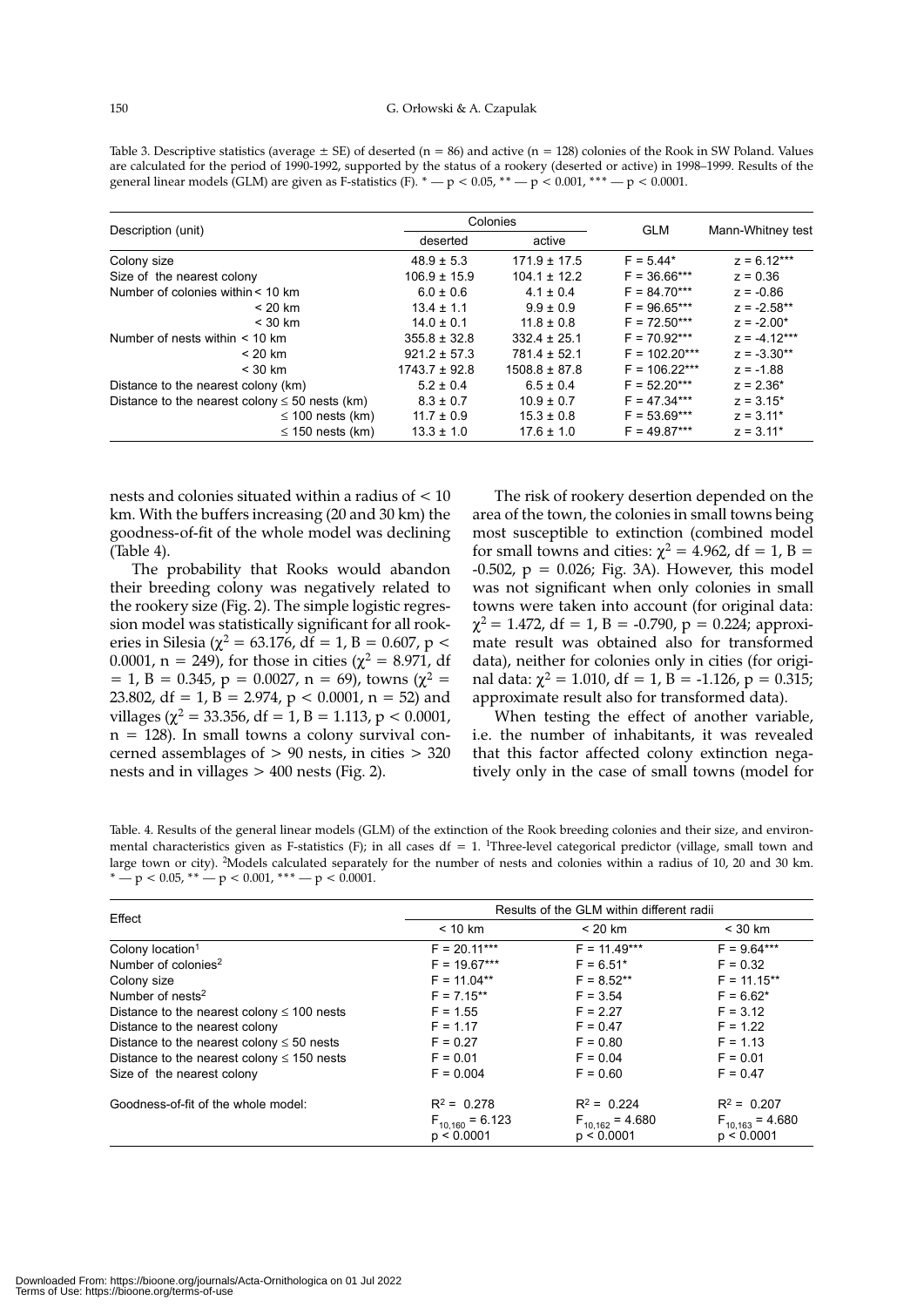| Table 3. Descriptive statistics (average $\pm$ SE) of deserted (n = 86) and active (n = 128) colonies of the Rook in SW Poland. Values |
|----------------------------------------------------------------------------------------------------------------------------------------|
| are calculated for the period of 1990-1992, supported by the status of a rookery (deserted or active) in 1998–1999. Results of the     |
| general linear models (GLM) are given as F-statistics (F). $* - p < 0.05$ , $* - p < 0.001$ , $* * - p < 0.0001$ .                     |

|                                                     | Colonies          |                   |                 |                   |
|-----------------------------------------------------|-------------------|-------------------|-----------------|-------------------|
| Description (unit)                                  | deserted          | active            | <b>GLM</b>      | Mann-Whitney test |
| Colony size                                         | $48.9 \pm 5.3$    | $171.9 \pm 17.5$  | $F = 5.44*$     | $z = 6.12***$     |
| Size of the nearest colony                          | $106.9 \pm 15.9$  | $104.1 \pm 12.2$  | $F = 36.66***$  | $z = 0.36$        |
| Number of colonies within < 10 km                   | $6.0 \pm 0.6$     | $4.1 \pm 0.4$     | $F = 84.70***$  | $z = -0.86$       |
| $< 20$ km                                           | $13.4 \pm 1.1$    | $9.9 \pm 0.9$     | $F = 96.65***$  | $z = -2.58**$     |
| $<$ 30 km                                           | $14.0 \pm 0.1$    | $11.8 \pm 0.8$    | $F = 72.50***$  | $z = -2.00*$      |
| Number of nests within $<$ 10 km                    | $355.8 \pm 32.8$  | $332.4 \pm 25.1$  | $F = 70.92***$  | $z = -4.12***$    |
| $< 20$ km                                           | $921.2 \pm 57.3$  | $781.4 \pm 52.1$  | $F = 102.20***$ | $z = -3.30**$     |
| $<$ 30 km                                           | $1743.7 \pm 92.8$ | $1508.8 \pm 87.8$ | $F = 106.22***$ | $z = -1.88$       |
| Distance to the nearest colony (km)                 | $5.2 \pm 0.4$     | $6.5 \pm 0.4$     | $F = 52.20***$  | $z = 2.36*$       |
| Distance to the nearest colony $\leq 50$ nests (km) | $8.3 \pm 0.7$     | $10.9 \pm 0.7$    | $F = 47.34***$  | $z = 3.15*$       |
| $\leq$ 100 nests (km)                               | $11.7 \pm 0.9$    | $15.3 \pm 0.8$    | $F = 53.69***$  | $z = 3.11*$       |
| $\leq$ 150 nests (km)                               | $13.3 \pm 1.0$    | $17.6 \pm 1.0$    | $F = 49.87***$  | $z = 3.11*$       |

nests and colonies situated within a radius of < 10 km. With the buffers increasing (20 and 30 km) the goodness-of-fit of the whole model was declining (Table 4).

The probability that Rooks would abandon their breeding colony was negatively related to the rookery size (Fig. 2). The simple logistic regression model was statistically significant for all rookeries in Silesia (χ<sup>2</sup> = 63.176, df = 1, B = 0.607, p < 0.0001,  $n = 249$ , for those in cities ( $\chi^2 = 8.971$ , df  $= 1$ , B = 0.345, p = 0.0027, n = 69), towns ( $\chi^2$  = 23.802, df = 1,  $B = 2.974$ ,  $p < 0.0001$ ,  $n = 52$ ) and villages ( $\chi^2$  = 33.356, df = 1, B = 1.113, p < 0.0001,  $n = 128$ ). In small towns a colony survival concerned assemblages of  $> 90$  nests, in cities  $> 320$ nests and in villages > 400 nests (Fig. 2).

The risk of rookery desertion depended on the area of the town, the colonies in small towns being most susceptible to extinction (combined model for small towns and cities:  $\chi^2 = 4.962$ , df = 1, B =  $-0.502$ ,  $p = 0.026$ ; Fig. 3A). However, this model was not significant when only colonies in small towns were taken into account (for original data:  $\chi^2$  = 1.472, df = 1, B = -0.790, p = 0.224; approximate result was obtained also for transformed data), neither for colonies only in cities (for original data:  $\chi^2$  = 1.010, df = 1, B = -1.126, p = 0.315; approximate result also for transformed data).

When testing the effect of another variable, i.e. the number of inhabitants, it was revealed that this factor affected colony extinction negatively only in the case of small towns (model for

Table. 4. Results of the general linear models (GLM) of the extinction of the Rook breeding colonies and their size, and environmental characteristics given as F-statistics (F); in all cases  $df = 1$ . <sup>1</sup>Three-level categorical predictor (village, small town and large town or city). 2Models calculated separately for the number of nests and colonies within a radius of 10, 20 and 30 km. \*  $-p < 0.05$ , \*\*  $-p < 0.001$ , \*\*\*  $-p < 0.0001$ .

|                                                 | Results of the GLM within different radii |                                    |                                    |  |
|-------------------------------------------------|-------------------------------------------|------------------------------------|------------------------------------|--|
| Effect                                          | < 10 km                                   | $< 20$ km                          | $<$ 30 km                          |  |
| Colony location <sup>1</sup>                    | $F = 20.11***$                            | $F = 11.49***$                     | $F = 9.64***$                      |  |
| Number of colonies <sup>2</sup>                 | $F = 19.67***$                            | $F = 6.51*$                        | $F = 0.32$                         |  |
| Colony size                                     | $F = 11.04**$                             | $F = 8.52***$                      | $F = 11.15***$                     |  |
| Number of nests <sup>2</sup>                    | $F = 7.15***$                             | $F = 3.54$                         | $F = 6.62*$                        |  |
| Distance to the nearest colony $\leq 100$ nests | $F = 1.55$                                | $F = 2.27$                         | $F = 3.12$                         |  |
| Distance to the nearest colony                  | $F = 1.17$                                | $F = 0.47$                         | $F = 1.22$                         |  |
| Distance to the nearest colony $\leq 50$ nests  | $F = 0.27$                                | $F = 0.80$                         | $F = 1.13$                         |  |
| Distance to the nearest colony $\leq$ 150 nests | $F = 0.01$                                | $F = 0.04$                         | $F = 0.01$                         |  |
| Size of the nearest colony                      | $F = 0.004$                               | $F = 0.60$                         | $F = 0.47$                         |  |
| Goodness-of-fit of the whole model:             | $R^2 = 0.278$                             | $R^2 = 0.224$                      | $R^2 = 0.207$                      |  |
|                                                 | $F_{10,160} = 6.123$<br>p < 0.0001        | $F_{10,162} = 4.680$<br>p < 0.0001 | $F_{10,163} = 4.680$<br>p < 0.0001 |  |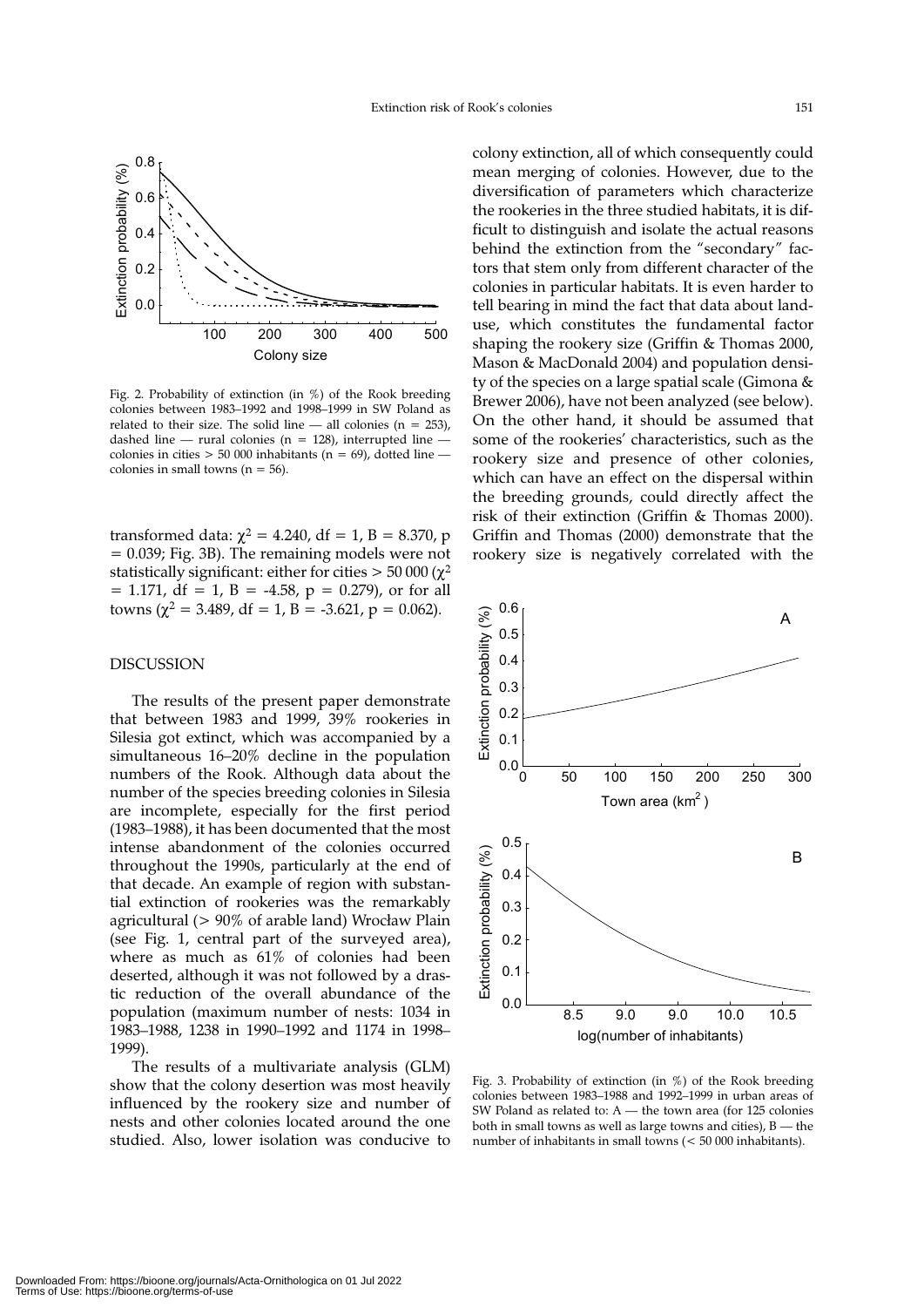

Fig. 2. Probability of extinction (in %) of the Rook breeding colonies between 1983–1992 and 1998–1999 in SW Poland as related to their size. The solid line — all colonies ( $n = 253$ ), dashed line — rural colonies ( $n = 128$ ), interrupted line colonies in cities  $> 50000$  inhabitants (n = 69), dotted line colonies in small towns ( $n = 56$ ).

transformed data:  $χ² = 4.240$ , df = 1, B = 8.370, p = 0.039; Fig. 3B). The remaining models were not statistically significant: either for cities  $> 50000$  ( $\chi^2$  $= 1.171$ , df  $= 1$ , B  $= -4.58$ , p  $= 0.279$ ), or for all towns ( $\chi^2$  = 3.489, df = 1, B = -3.621, p = 0.062).

# DISCUSSION

The results of the present paper demonstrate that between 1983 and 1999, 39% rookeries in Silesia got extinct, which was accompanied by a simultaneous 16–20% decline in the population numbers of the Rook. Although data about the number of the species breeding colonies in Silesia are incomplete, especially for the first period (1983–1988), it has been documented that the most intense abandonment of the colonies occurred throughout the 1990s, particularly at the end of that decade. An example of region with substantial extinction of rookeries was the remarkably agricultural (> 90% of arable land) Wrocław Plain (see Fig. 1, central part of the surveyed area), where as much as 61% of colonies had been deserted, although it was not followed by a drastic reduction of the overall abundance of the population (maximum number of nests: 1034 in 1983–1988, 1238 in 1990–1992 and 1174 in 1998– 1999).

The results of a multivariate analysis (GLM) show that the colony desertion was most heavily influenced by the rookery size and number of nests and other colonies located around the one studied. Also, lower isolation was conducive to colony extinction, all of which consequently could mean merging of colonies. However, due to the diversification of parameters which characterize the rookeries in the three studied habitats, it is difficult to distinguish and isolate the actual reasons behind the extinction from the "secondary" factors that stem only from different character of the colonies in particular habitats. It is even harder to tell bearing in mind the fact that data about landuse, which constitutes the fundamental factor shaping the rookery size (Griffin & Thomas 2000, Mason & MacDonald 2004) and population density of the species on a large spatial scale (Gimona & Brewer 2006), have not been analyzed (see below). On the other hand, it should be assumed that some of the rookeries' characteristics, such as the rookery size and presence of other colonies, which can have an effect on the dispersal within the breeding grounds, could directly affect the risk of their extinction (Griffin & Thomas 2000). Griffin and Thomas (2000) demonstrate that the rookery size is negatively correlated with the



Fig. 3. Probability of extinction (in %) of the Rook breeding colonies between 1983–1988 and 1992–1999 in urban areas of SW Poland as related to: A — the town area (for 125 colonies both in small towns as well as large towns and cities), B — the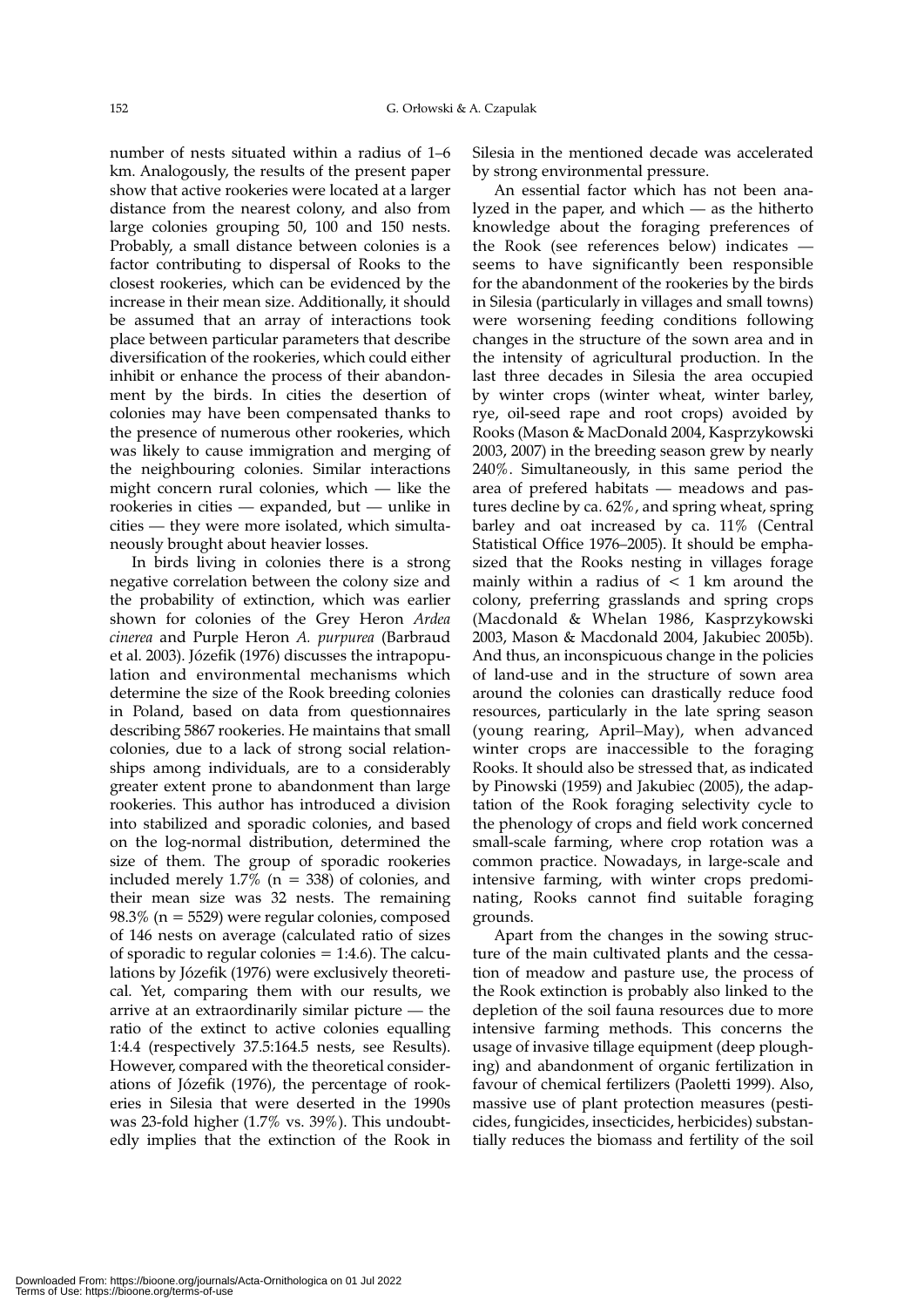number of nests situated within a radius of 1–6 km. Analogously, the results of the present paper show that active rookeries were located at a larger distance from the nearest colony, and also from large colonies grouping 50, 100 and 150 nests. Probably, a small distance between colonies is a factor contributing to dispersal of Rooks to the closest rookeries, which can be evidenced by the increase in their mean size. Additionally, it should be assumed that an array of interactions took place between particular parameters that describe diversification of the rookeries, which could either inhibit or enhance the process of their abandonment by the birds. In cities the desertion of colonies may have been compensated thanks to the presence of numerous other rookeries, which was likely to cause immigration and merging of the neighbouring colonies. Similar interactions might concern rural colonies, which — like the rookeries in cities — expanded, but — unlike in cities — they were more isolated, which simultaneously brought about heavier losses.

In birds living in colonies there is a strong negative correlation between the colony size and the probability of extinction, which was earlier shown for colonies of the Grey Heron *Ardea cinerea* and Purple Heron *A. purpurea* (Barbraud et al. 2003). Józefik (1976) discusses the intrapopulation and environmental mechanisms which determine the size of the Rook breeding colonies in Poland, based on data from questionnaires describing 5867 rookeries. He maintains that small colonies, due to a lack of strong social relationships among individuals, are to a considerably greater extent prone to abandonment than large rookeries. This author has introduced a division into stabilized and sporadic colonies, and based on the log-normal distribution, determined the size of them. The group of sporadic rookeries included merely  $1.7\%$  (n = 338) of colonies, and their mean size was 32 nests. The remaining 98.3% (n = 5529) were regular colonies, composed of 146 nests on average (calculated ratio of sizes of sporadic to regular colonies  $= 1:4.6$ ). The calculations by Józefik (1976) were exclusively theoretical. Yet, comparing them with our results, we arrive at an extraordinarily similar picture — the ratio of the extinct to active colonies equalling 1:4.4 (respectively 37.5:164.5 nests, see Results). However, compared with the theoretical considerations of Józefik (1976), the percentage of rookeries in Silesia that were deserted in the 1990s was 23-fold higher (1.7% vs. 39%). This undoubtedly implies that the extinction of the Rook in Silesia in the mentioned decade was accelerated by strong environmental pressure.

An essential factor which has not been analyzed in the paper, and which — as the hitherto knowledge about the foraging preferences of the Rook (see references below) indicates seems to have significantly been responsible for the abandonment of the rookeries by the birds in Silesia (particularly in villages and small towns) were worsening feeding conditions following changes in the structure of the sown area and in the intensity of agricultural production. In the last three decades in Silesia the area occupied by winter crops (winter wheat, winter barley, rye, oil-seed rape and root crops) avoided by Rooks (Mason & MacDonald 2004, Kasprzykowski 2003, 2007) in the breeding season grew by nearly 240%. Simultaneously, in this same period the area of prefered habitats — meadows and pastures decline by ca. 62%, and spring wheat, spring barley and oat increased by ca. 11% (Central Statistical Office 1976–2005). It should be emphasized that the Rooks nesting in villages forage mainly within a radius of  $\lt$  1 km around the colony, preferring grasslands and spring crops (Macdonald & Whelan 1986, Kasprzykowski 2003, Mason & Macdonald 2004, Jakubiec 2005b). And thus, an inconspicuous change in the policies of land-use and in the structure of sown area around the colonies can drastically reduce food resources, particularly in the late spring season (young rearing, April–May), when advanced winter crops are inaccessible to the foraging Rooks. It should also be stressed that, as indicated by Pinowski (1959) and Jakubiec (2005), the adaptation of the Rook foraging selectivity cycle to the phenology of crops and field work concerned small-scale farming, where crop rotation was a common practice. Nowadays, in large-scale and intensive farming, with winter crops predominating, Rooks cannot find suitable foraging grounds.

Apart from the changes in the sowing structure of the main cultivated plants and the cessation of meadow and pasture use, the process of the Rook extinction is probably also linked to the depletion of the soil fauna resources due to more intensive farming methods. This concerns the usage of invasive tillage equipment (deep ploughing) and abandonment of organic fertilization in favour of chemical fertilizers (Paoletti 1999). Also, massive use of plant protection measures (pesticides, fungicides, insecticides, herbicides) substantially reduces the biomass and fertility of the soil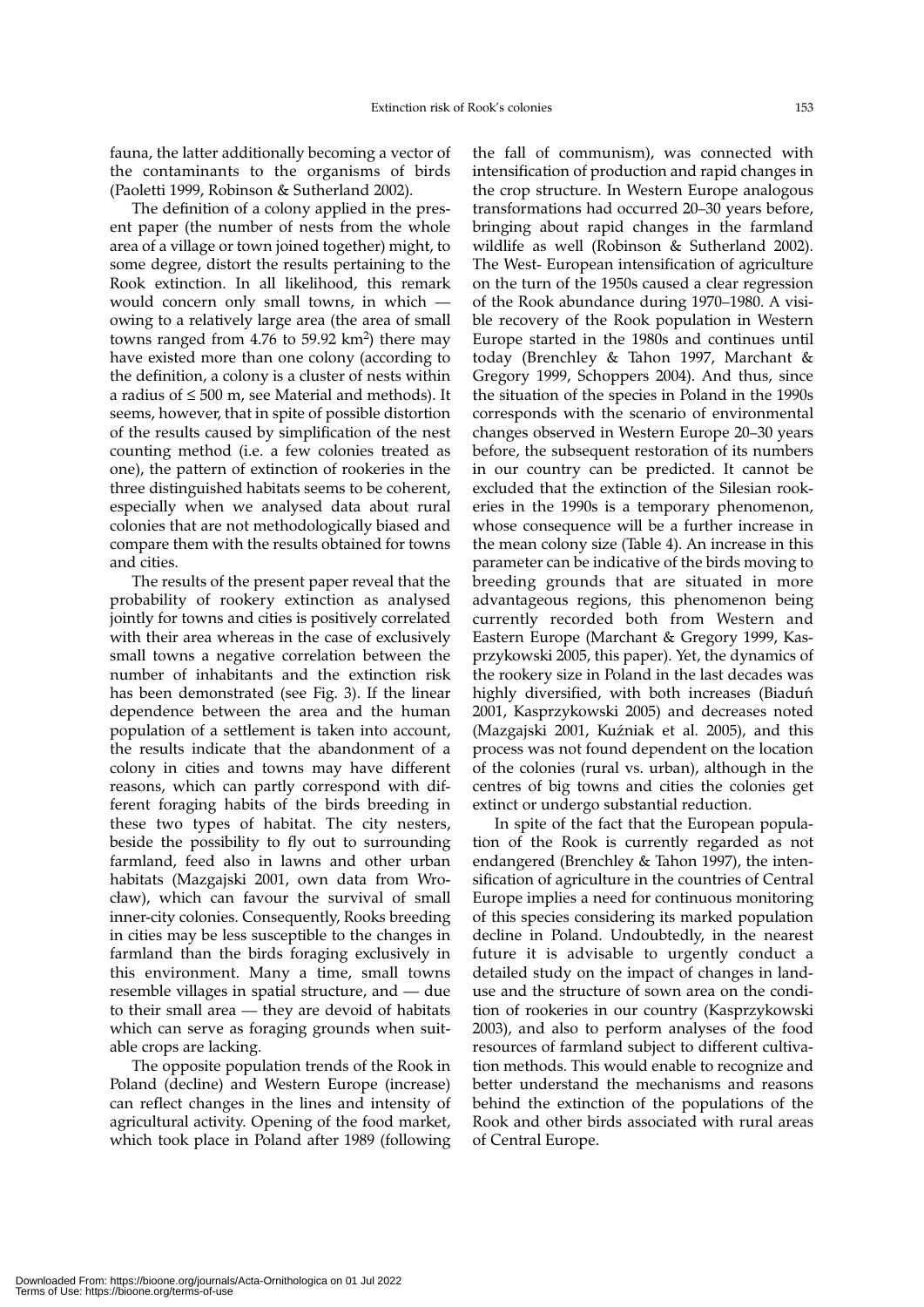fauna, the latter additionally becoming a vector of the contaminants to the organisms of birds (Paoletti 1999, Robinson & Sutherland 2002).

The definition of a colony applied in the present paper (the number of nests from the whole area of a village or town joined together) might, to some degree, distort the results pertaining to the Rook extinction. In all likelihood, this remark would concern only small towns, in which owing to a relatively large area (the area of small towns ranged from 4.76 to 59.92  $km^2$ ) there may have existed more than one colony (according to the definition, a colony is a cluster of nests within a radius of  $\leq 500$  m, see Material and methods). It seems, however, that in spite of possible distortion of the results caused by simplification of the nest counting method (i.e. a few colonies treated as one), the pattern of extinction of rookeries in the three distinguished habitats seems to be coherent, especially when we analysed data about rural colonies that are not methodologically biased and compare them with the results obtained for towns and cities.

The results of the present paper reveal that the probability of rookery extinction as analysed jointly for towns and cities is positively correlated with their area whereas in the case of exclusively small towns a negative correlation between the number of inhabitants and the extinction risk has been demonstrated (see Fig. 3). If the linear dependence between the area and the human population of a settlement is taken into account, the results indicate that the abandonment of a colony in cities and towns may have different reasons, which can partly correspond with different foraging habits of the birds breeding in these two types of habitat. The city nesters, beside the possibility to fly out to surrounding farmland, feed also in lawns and other urban habitats (Mazgajski 2001, own data from Wrocław), which can favour the survival of small inner-city colonies. Consequently, Rooks breeding in cities may be less susceptible to the changes in farmland than the birds foraging exclusively in this environment. Many a time, small towns resemble villages in spatial structure, and — due to their small area — they are devoid of habitats which can serve as foraging grounds when suitable crops are lacking.

The opposite population trends of the Rook in Poland (decline) and Western Europe (increase) can reflect changes in the lines and intensity of agricultural activity. Opening of the food market, which took place in Poland after 1989 (following the fall of communism), was connected with intensification of production and rapid changes in the crop structure. In Western Europe analogous transformations had occurred 20–30 years before, bringing about rapid changes in the farmland wildlife as well (Robinson & Sutherland 2002). The West- European intensification of agriculture on the turn of the 1950s caused a clear regression of the Rook abundance during 1970–1980. A visible recovery of the Rook population in Western Europe started in the 1980s and continues until today (Brenchley & Tahon 1997, Marchant & Gregory 1999, Schoppers 2004). And thus, since the situation of the species in Poland in the 1990s corresponds with the scenario of environmental changes observed in Western Europe 20–30 years before, the subsequent restoration of its numbers in our country can be predicted. It cannot be excluded that the extinction of the Silesian rookeries in the 1990s is a temporary phenomenon, whose consequence will be a further increase in the mean colony size (Table 4). An increase in this parameter can be indicative of the birds moving to breeding grounds that are situated in more advantageous regions, this phenomenon being currently recorded both from Western and Eastern Europe (Marchant & Gregory 1999, Kasprzykowski 2005, this paper). Yet, the dynamics of the rookery size in Poland in the last decades was highly diversified, with both increases (Biaduń 2001, Kasprzykowski 2005) and decreases noted (Mazgajski 2001, Kuźniak et al. 2005), and this process was not found dependent on the location of the colonies (rural vs. urban), although in the centres of big towns and cities the colonies get extinct or undergo substantial reduction.

In spite of the fact that the European population of the Rook is currently regarded as not endangered (Brenchley & Tahon 1997), the intensification of agriculture in the countries of Central Europe implies a need for continuous monitoring of this species considering its marked population decline in Poland. Undoubtedly, in the nearest future it is advisable to urgently conduct a detailed study on the impact of changes in landuse and the structure of sown area on the condition of rookeries in our country (Kasprzykowski 2003), and also to perform analyses of the food resources of farmland subject to different cultivation methods. This would enable to recognize and better understand the mechanisms and reasons behind the extinction of the populations of the Rook and other birds associated with rural areas of Central Europe.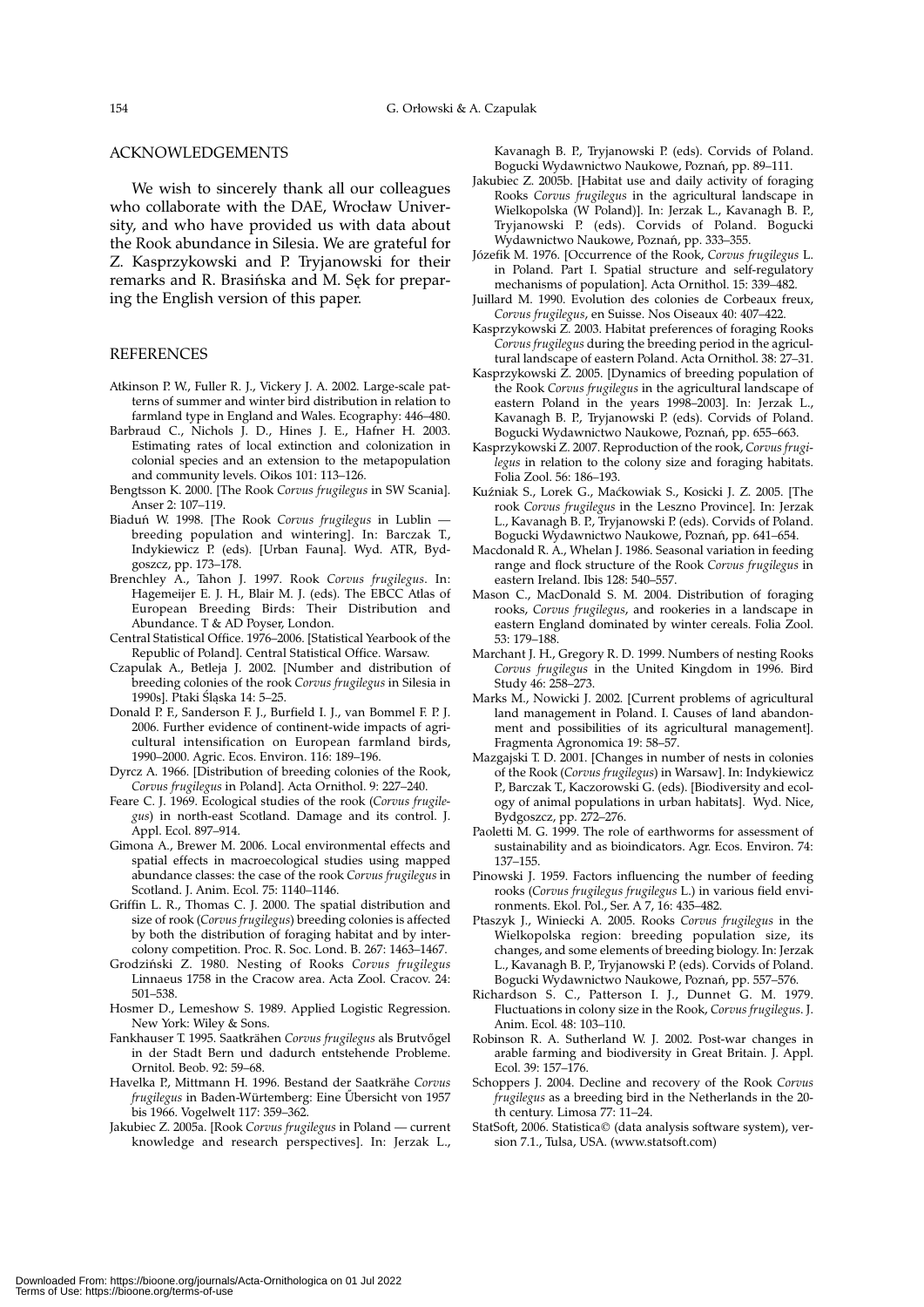# ACKNOWLEDGEMENTS

We wish to sincerely thank all our colleagues who collaborate with the DAE, Wrocław University, and who have provided us with data about the Rook abundance in Silesia. We are grateful for Z. Kasprzykowski and P. Tryjanowski for their remarks and R. Brasińska and M. Sęk for preparing the English version of this paper.

# REFERENCES

- Atkinson P. W., Fuller R. J., Vickery J. A. 2002. Large-scale patterns of summer and winter bird distribution in relation to farmland type in England and Wales. Ecography: 446–480.
- Barbraud C., Nichols J. D., Hines J. E., Hafner H. 2003. Estimating rates of local extinction and colonization in colonial species and an extension to the metapopulation and community levels. Oikos 101: 113–126.
- Bengtsson K. 2000. [The Rook *Corvus frugilegus* in SW Scania]. Anser 2: 107–119.
- Biaduń W. 1998. [The Rook *Corvus frugilegus* in Lublin breeding population and wintering]. In: Barczak T., Indykiewicz P. (eds). [Urban Fauna]. Wyd. ATR, Bydgoszcz, pp. 173–178.
- Brenchley A., Tahon J. 1997. Rook *Corvus frugilegus*. In: Hagemeijer E. J. H., Blair M. J. (eds). The EBCC Atlas of European Breeding Birds: Their Distribution and Abundance. T & AD Poyser, London.
- Central Statistical Office. 1976–2006. [Statistical Yearbook of the Republic of Poland]. Central Statistical Office. Warsaw.
- Czapulak A., Betleja J. 2002. [Number and distribution of breeding colonies of the rook *Corvus frugilegus* in Silesia in 1990s]. Ptaki Śląska 14: 5–25.
- Donald P. F., Sanderson F. J., Burfield I. J., van Bommel F. P. J. 2006. Further evidence of continent-wide impacts of agricultural intensification on European farmland birds, 1990–2000. Agric. Ecos. Environ. 116: 189–196.
- Dyrcz A. 1966. [Distribution of breeding colonies of the Rook, *Corvus frugilegus* in Poland]. Acta Ornithol. 9: 227–240.
- Feare C. J. 1969. Ecological studies of the rook (*Corvus frugilegus*) in north-east Scotland. Damage and its control. J. Appl. Ecol. 897–914.
- Gimona A., Brewer M. 2006. Local environmental effects and spatial effects in macroecological studies using mapped abundance classes: the case of the rook *Corvus frugilegus* in Scotland. J. Anim. Ecol. 75: 1140–1146.
- Griffin L. R., Thomas C. J. 2000. The spatial distribution and size of rook (*Corvus frugilegus*) breeding colonies is affected by both the distribution of foraging habitat and by intercolony competition. Proc. R. Soc. Lond. B. 267: 1463–1467.
- Grodziński Z. 1980. Nesting of Rooks *Corvus frugilegus* Linnaeus 1758 in the Cracow area. Acta Zool. Cracov. 24: 501–538.
- Hosmer D., Lemeshow S. 1989. Applied Logistic Regression. New York: Wiley & Sons.
- Fankhauser T. 1995. Saatkrähen *Corvus frugilegus* als Brutvőgel in der Stadt Bern und dadurch entstehende Probleme. Ornitol. Beob. 92: 59–68.
- Havelka P., Mittmann H. 1996. Bestand der Saatkrähe *Corvus frugilegus* in Baden-Würtemberg: Eine Űbersicht von 1957 bis 1966. Vogelwelt 117: 359–362.
- Jakubiec Z. 2005a. [Rook *Corvus frugilegus* in Poland current knowledge and research perspectives]. In: Jerzak L.,

Kavanagh B. P., Tryjanowski P. (eds). Corvids of Poland. Bogucki Wydawnictwo Naukowe, Poznań, pp. 89–111.

- Jakubiec Z. 2005b. [Habitat use and daily activity of foraging Rooks *Corvus frugilegus* in the agricultural landscape in Wielkopolska (W Poland)]. In: Jerzak L., Kavanagh B. P., Tryjanowski P. (eds). Corvids of Poland. Bogucki Wydawnictwo Naukowe, Poznań, pp. 333–355.
- Józefik M. 1976. [Occurrence of the Rook, *Corvus frugilegus* L. in Poland. Part I. Spatial structure and self-regulatory mechanisms of population]. Acta Ornithol. 15: 339–482.
- Juillard M. 1990. Evolution des colonies de Corbeaux freux, *Corvus frugilegus*, en Suisse. Nos Oiseaux 40: 407–422.
- Kasprzykowski Z. 2003. Habitat preferences of foraging Rooks *Corvus frugilegus* during the breeding period in the agricultural landscape of eastern Poland. Acta Ornithol. 38: 27–31.
- Kasprzykowski Z. 2005. [Dynamics of breeding population of the Rook *Corvus frugilegus* in the agricultural landscape of eastern Poland in the years 1998–2003]. In: Jerzak L., Kavanagh B. P., Tryjanowski P. (eds). Corvids of Poland. Bogucki Wydawnictwo Naukowe, Poznań, pp. 655–663.
- Kasprzykowski Z. 2007. Reproduction of the rook, *Corvus frugilegus* in relation to the colony size and foraging habitats. Folia Zool. 56: 186–193.
- Kuźniak S., Lorek G., Maćkowiak S., Kosicki J. Z. 2005. [The rook *Corvus frugilegus* in the Leszno Province]. In: Jerzak L., Kavanagh B. P., Tryjanowski P. (eds). Corvids of Poland. Bogucki Wydawnictwo Naukowe, Poznań, pp. 641–654.
- Macdonald R. A., Whelan J. 1986. Seasonal variation in feeding range and flock structure of the Rook *Corvus frugilegus* in eastern Ireland. Ibis 128: 540–557.
- Mason C., MacDonald S. M. 2004. Distribution of foraging rooks, *Corvus frugilegus*, and rookeries in a landscape in eastern England dominated by winter cereals. Folia Zool. 53: 179–188.
- Marchant J. H., Gregory R. D. 1999. Numbers of nesting Rooks *Corvus frugilegus* in the United Kingdom in 1996. Bird Study 46: 258–273.
- Marks M., Nowicki J. 2002. [Current problems of agricultural land management in Poland. I. Causes of land abandonment and possibilities of its agricultural management]. Fragmenta Agronomica 19: 58–57.
- Mazgajski T. D. 2001. [Changes in number of nests in colonies of the Rook (*Corvus frugilegus*) in Warsaw]. In: Indykiewicz P., Barczak T., Kaczorowski G. (eds). [Biodiversity and ecology of animal populations in urban habitats]. Wyd. Nice, Bydgoszcz, pp. 272–276.
- Paoletti M. G. 1999. The role of earthworms for assessment of sustainability and as bioindicators. Agr. Ecos. Environ. 74: 137–155.
- Pinowski J. 1959. Factors influencing the number of feeding rooks (*Corvus frugilegus frugilegus* L.) in various field environments. Ekol. Pol., Ser. A 7, 16: 435–482.
- Ptaszyk J., Winiecki A. 2005. Rooks *Corvus frugilegus* in the Wielkopolska region: breeding population size, its changes, and some elements of breeding biology. In: Jerzak L., Kavanagh B. P., Tryjanowski P. (eds). Corvids of Poland. Bogucki Wydawnictwo Naukowe, Poznań, pp. 557–576.
- Richardson S. C., Patterson I. J., Dunnet G. M. 1979. Fluctuations in colony size in the Rook, *Corvus frugilegus*. J. Anim. Ecol. 48: 103–110.
- Robinson R. A. Sutherland W. J. 2002. Post-war changes in arable farming and biodiversity in Great Britain. J. Appl. Ecol. 39: 157–176.
- Schoppers J. 2004. Decline and recovery of the Rook *Corvus frugilegus* as a breeding bird in the Netherlands in the 20 th century. Limosa 77: 11–24.
- StatSoft, 2006. Statistica© (data analysis software system), version 7.1., Tulsa, USA. (www.statsoft.com)